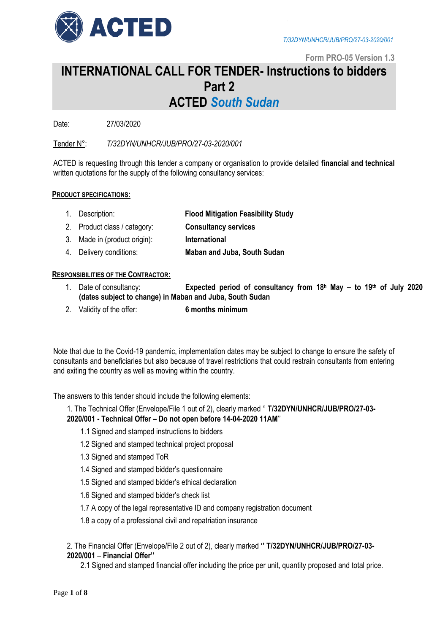

**Form PRO-05 Version 1.3**

## **INTERNATIONAL CALL FOR TENDER- Instructions to bidders Part 2 ACTED** *South Sudan*

Date: 27/03/2020

Tender N°: *T/32DYN/UNHCR/JUB/PRO/27-03-2020/001*

ACTED is requesting through this tender a company or organisation to provide detailed **financial and technical**  written quotations for the supply of the following consultancy services:

## **PRODUCT SPECIFICATIONS:**

- 1. Description: **Flood Mitigation Feasibility Study**
- 2. Product class / category: **Consultancy services**
- 3. Made in (product origin): **International**
- 4. Delivery conditions: **Maban and Juba, South Sudan**

## **RESPONSIBILITIES OF THE CONTRACTOR:**

- 1. Date of consultancy: **Expected period of consultancy from 18 <sup>h</sup> May – to 19 th of July 2020 (dates subject to change) in Maban and Juba, South Sudan**
- 2. Validity of the offer: **6 months minimum**

Note that due to the Covid-19 pandemic, implementation dates may be subject to change to ensure the safety of consultants and beneficiaries but also because of travel restrictions that could restrain consultants from entering and exiting the country as well as moving within the country.

The answers to this tender should include the following elements:

1. The Technical Offer (Envelope/File 1 out of 2), clearly marked '' **T/32DYN/UNHCR/JUB/PRO/27-03- 2020/001 - Technical Offer – Do not open before 14-04-2020 11AM**''

- 1.1 Signed and stamped instructions to bidders
- 1.2 Signed and stamped technical project proposal
- 1.3 Signed and stamped ToR
- 1.4 Signed and stamped bidder's questionnaire
- 1.5 Signed and stamped bidder's ethical declaration
- 1.6 Signed and stamped bidder's check list
- 1.7 A copy of the legal representative ID and company registration document
- 1.8 a copy of a professional civil and repatriation insurance

## 2. The Financial Offer (Envelope/File 2 out of 2), clearly marked **'' T/32DYN/UNHCR/JUB/PRO/27-03- 2020/001** – **Financial Offer''**

2.1 Signed and stamped financial offer including the price per unit, quantity proposed and total price.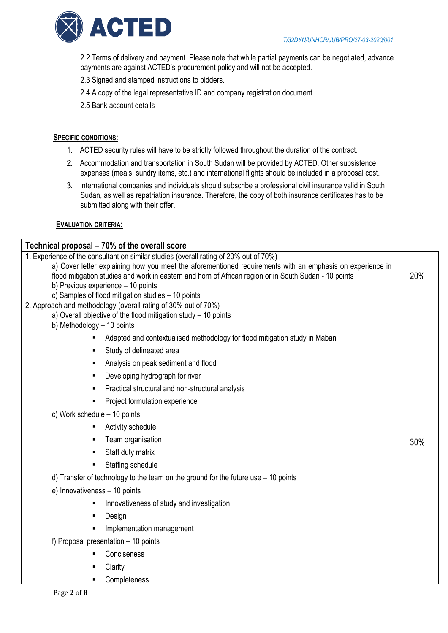

2.2 Terms of delivery and payment. Please note that while partial payments can be negotiated, advance payments are against ACTED's procurement policy and will not be accepted.

2.3 Signed and stamped instructions to bidders.

2.4 A copy of the legal representative ID and company registration document

2.5 Bank account details

## **SPECIFIC CONDITIONS:**

- 1. ACTED security rules will have to be strictly followed throughout the duration of the contract.
- 2. Accommodation and transportation in South Sudan will be provided by ACTED. Other subsistence expenses (meals, sundry items, etc.) and international flights should be included in a proposal cost.
- 3. International companies and individuals should subscribe a professional civil insurance valid in South Sudan, as well as repatriation insurance. Therefore, the copy of both insurance certificates has to be submitted along with their offer.

## **EVALUATION CRITERIA:**

| Technical proposal – 70% of the overall score                                                                |     |  |  |  |  |
|--------------------------------------------------------------------------------------------------------------|-----|--|--|--|--|
| 1. Experience of the consultant on similar studies (overall rating of 20% out of 70%)                        |     |  |  |  |  |
| a) Cover letter explaining how you meet the aforementioned requirements with an emphasis on experience in    |     |  |  |  |  |
| 20%<br>flood mitigation studies and work in eastern and horn of African region or in South Sudan - 10 points |     |  |  |  |  |
| b) Previous experience - 10 points<br>c) Samples of flood mitigation studies - 10 points                     |     |  |  |  |  |
| 2. Approach and methodology (overall rating of 30% out of 70%)                                               |     |  |  |  |  |
| a) Overall objective of the flood mitigation study $-10$ points                                              |     |  |  |  |  |
| b) Methodology - 10 points                                                                                   |     |  |  |  |  |
| Adapted and contextualised methodology for flood mitigation study in Maban                                   |     |  |  |  |  |
| Study of delineated area                                                                                     |     |  |  |  |  |
| Analysis on peak sediment and flood<br>٠                                                                     |     |  |  |  |  |
| Developing hydrograph for river                                                                              |     |  |  |  |  |
| Practical structural and non-structural analysis                                                             |     |  |  |  |  |
| Project formulation experience                                                                               |     |  |  |  |  |
| c) Work schedule - 10 points                                                                                 |     |  |  |  |  |
| Activity schedule                                                                                            |     |  |  |  |  |
| Team organisation                                                                                            | 30% |  |  |  |  |
| Staff duty matrix                                                                                            |     |  |  |  |  |
| Staffing schedule<br>٠                                                                                       |     |  |  |  |  |
| d) Transfer of technology to the team on the ground for the future use $-10$ points                          |     |  |  |  |  |
| e) Innovativeness - 10 points                                                                                |     |  |  |  |  |
| Innovativeness of study and investigation                                                                    |     |  |  |  |  |
| Design<br>٠                                                                                                  |     |  |  |  |  |
| Implementation management                                                                                    |     |  |  |  |  |
| f) Proposal presentation - 10 points                                                                         |     |  |  |  |  |
| Conciseness                                                                                                  |     |  |  |  |  |
| Clarity                                                                                                      |     |  |  |  |  |
| Completeness                                                                                                 |     |  |  |  |  |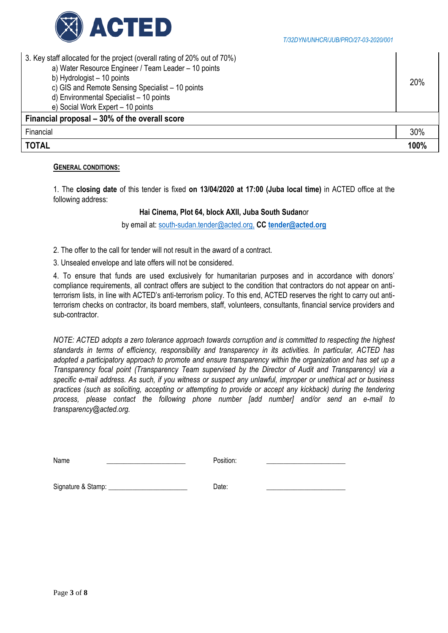

| 3. Key staff allocated for the project (overall rating of 20% out of 70%)<br>a) Water Resource Engineer / Team Leader - 10 points<br>b) Hydrologist - 10 points<br>c) GIS and Remote Sensing Specialist - 10 points<br>d) Environmental Specialist - 10 points<br>e) Social Work Expert - 10 points | 20%  |
|-----------------------------------------------------------------------------------------------------------------------------------------------------------------------------------------------------------------------------------------------------------------------------------------------------|------|
| Financial proposal – 30% of the overall score                                                                                                                                                                                                                                                       |      |
| Financial                                                                                                                                                                                                                                                                                           | 30%  |
| <b>TOTAL</b>                                                                                                                                                                                                                                                                                        | 100% |

#### **GENERAL CONDITIONS:**

1. The **closing date** of this tender is fixed **on 13/04/2020 at 17:00 (Juba local time)** in ACTED office at the following address:

## **Hai Cinema, Plot 64, block AXII, Juba South Sudan**or

by email at: [south-sudan.tender@acted.org,](mailto:south-sudan.tender@acted.org,) **CC [tender@acted.org](mailto:tender@acted.org)**

2. The offer to the call for tender will not result in the award of a contract.

3. Unsealed envelope and late offers will not be considered.

4. To ensure that funds are used exclusively for humanitarian purposes and in accordance with donors' compliance requirements, all contract offers are subject to the condition that contractors do not appear on antiterrorism lists, in line with ACTED's anti-terrorism policy. To this end, ACTED reserves the right to carry out antiterrorism checks on contractor, its board members, staff, volunteers, consultants, financial service providers and sub-contractor.

*NOTE: ACTED adopts a zero tolerance approach towards corruption and is committed to respecting the highest standards in terms of efficiency, responsibility and transparency in its activities. In particular, ACTED has adopted a participatory approach to promote and ensure transparency within the organization and has set up a Transparency focal point (Transparency Team supervised by the Director of Audit and Transparency) via a specific e-mail address. As such, if you witness or suspect any unlawful, improper or unethical act or business practices (such as soliciting, accepting or attempting to provide or accept any kickback) during the tendering process, please contact the following phone number [add number] and/or send an e-mail to transparency@acted.org.*

Name \_\_\_\_\_\_\_\_\_\_\_\_\_\_\_\_\_\_\_\_\_\_\_\_\_ Position: \_\_\_\_\_\_\_\_\_\_\_\_\_\_\_\_\_\_\_\_\_\_\_\_\_\_\_\_\_

Signature & Stamp: \_\_\_\_\_\_\_\_\_\_\_\_\_\_\_\_\_\_\_\_\_\_\_ Date: \_\_\_\_\_\_\_\_\_\_\_\_\_\_\_\_\_\_\_\_\_\_\_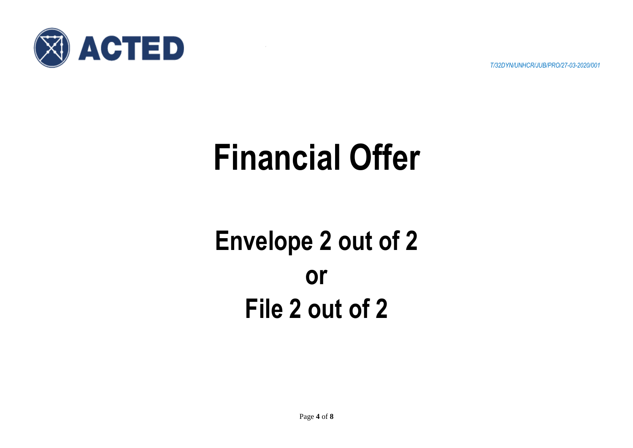

*T/32DYN/UNHCR/JUB/PRO/27-03-2020/001*

# **Financial Offer**

## **Envelope 2 out of 2 or File 2 out of 2**

Page **4** of **8**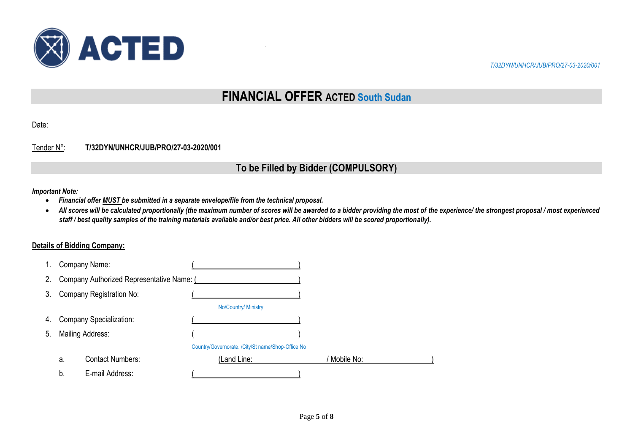

*T/32DYN/UNHCR/JUB/PRO/27-03-2020/001*

## **FINANCIAL OFFER ACTED South Sudan**

Date:

## Tender N°: **T/32DYN/UNHCR/JUB/PRO/27-03-2020/001**

## **To be Filled by Bidder (COMPULSORY)**

#### *Important Note:*

- *Financial offer MUST be submitted in a separate envelope/file from the technical proposal.*
- All scores will be calculated proportionally (the maximum number of scores will be awarded to a bidder providing the most of the experience/ the strongest proposal / most experienced *staff / best quality samples of the training materials available and/or best price. All other bidders will be scored proportionally).*

## **Details of Bidding Company:**

| $1_{\cdot}$ |                  | Company Name:                             |                                                   |            |
|-------------|------------------|-------------------------------------------|---------------------------------------------------|------------|
| 2.          |                  | Company Authorized Representative Name: ( |                                                   |            |
| 3.          |                  | Company Registration No:                  |                                                   |            |
|             |                  |                                           | No/Country/ Ministry                              |            |
| 4.          |                  | <b>Company Specialization:</b>            |                                                   |            |
| 5.          | Mailing Address: |                                           |                                                   |            |
|             |                  |                                           | Country/Governorate. /City/St name/Shop-Office No |            |
|             | a.               | <b>Contact Numbers:</b>                   | (Land Line:                                       | Mobile No: |
|             | b.               | E-mail Address:                           |                                                   |            |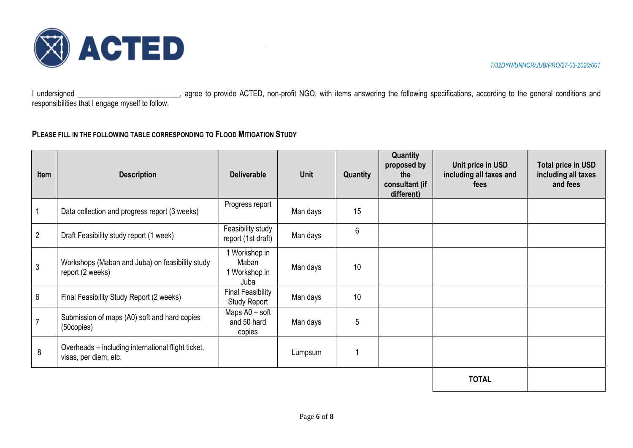

I undersigned \_\_\_\_\_\_\_\_\_\_\_\_\_\_\_\_\_\_\_\_\_\_\_\_, agree to provide ACTED, non-profit NGO, with items answering the following specifications, according to the general conditions and responsibilities that I engage myself to follow.

## **PLEASE FILL IN THE FOLLOWING TABLE CORRESPONDING TO FLOOD MITIGATION STUDY**

| Item           | <b>Description</b>                                                          | <b>Deliverable</b>                              | <b>Unit</b> | Quantity | Quantity<br>proposed by<br>the<br>consultant (if<br>different) | Unit price in USD<br>including all taxes and<br>fees | Total price in USD<br>including all taxes<br>and fees |
|----------------|-----------------------------------------------------------------------------|-------------------------------------------------|-------------|----------|----------------------------------------------------------------|------------------------------------------------------|-------------------------------------------------------|
|                | Data collection and progress report (3 weeks)                               | Progress report                                 | Man days    | 15       |                                                                |                                                      |                                                       |
| $\overline{2}$ | Draft Feasibility study report (1 week)                                     | Feasibility study<br>report (1st draft)         | Man days    | 6        |                                                                |                                                      |                                                       |
| 3              | Workshops (Maban and Juba) on feasibility study<br>report (2 weeks)         | 1 Workshop in<br>Maban<br>1 Workshop in<br>Juba | Man days    | 10       |                                                                |                                                      |                                                       |
| 6              | Final Feasibility Study Report (2 weeks)                                    | <b>Final Feasibility</b><br><b>Study Report</b> | Man days    | 10       |                                                                |                                                      |                                                       |
| $\overline{7}$ | Submission of maps (A0) soft and hard copies<br>(50copies)                  | Maps A0 - soft<br>and 50 hard<br>copies         | Man days    | 5        |                                                                |                                                      |                                                       |
| 8              | Overheads - including international flight ticket,<br>visas, per diem, etc. |                                                 | Lumpsum     |          |                                                                |                                                      |                                                       |
|                |                                                                             |                                                 |             |          |                                                                |                                                      |                                                       |

**TOTAL**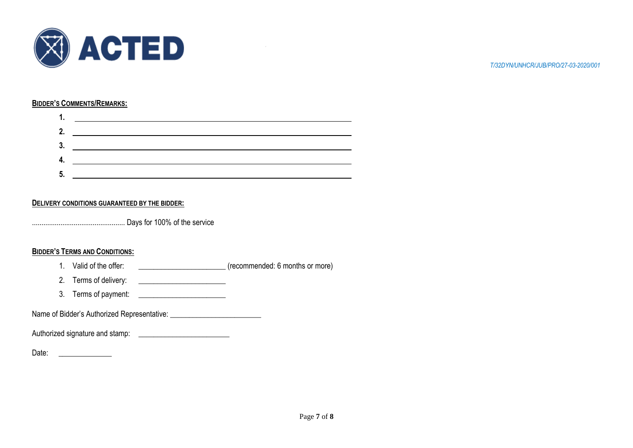

#### **BIDDER'S COMMENTS/REMARKS:**

| 2 |  |
|---|--|
|   |  |
|   |  |

## **DELIVERY CONDITIONS GUARANTEED BY THE BIDDER:**

................................................. Days for 100% of the service

## **BIDDER'S TERMS AND CONDITIONS:**

- 1. Valid of the offer: \_\_\_\_\_\_\_\_\_\_\_\_\_\_\_\_\_\_\_\_\_\_\_\_\_\_\_\_\_\_\_\_\_(recommended: 6 months or more)
- 2. Terms of delivery: \_\_\_\_\_\_\_\_\_\_\_\_\_\_\_\_\_\_\_\_\_\_\_
- 3. Terms of payment: \_\_\_\_\_\_\_\_\_\_\_\_\_\_\_\_\_\_\_\_\_\_\_

Name of Bidder's Authorized Representative:

Authorized signature and stamp: \_\_\_\_\_\_\_\_\_\_\_\_\_\_\_\_\_\_\_\_\_\_\_\_

Date: \_\_\_\_\_\_\_\_\_\_\_\_\_\_